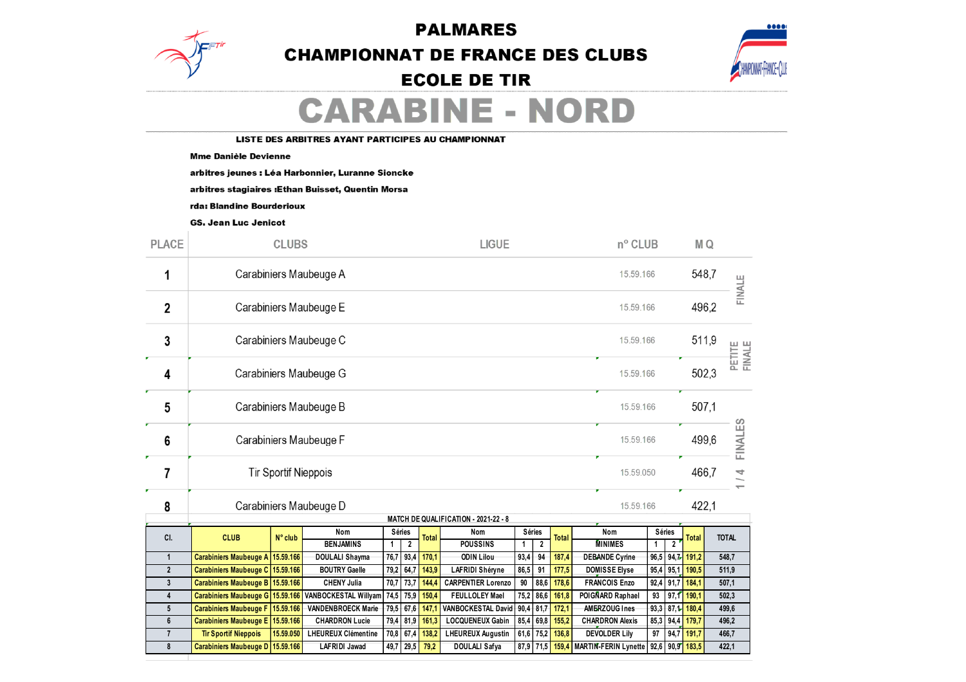**PALMARES** 



## **CHAMPIONNAT DE FRANCE DES CLUBS**



## **ECOLE DE TIR**

# **CARABINE - NORD**

LISTE DES ARBITRES AYANT PARTICIPES AU CHAMPIONNAT

#### **Mme Danièle Devienne**

arbitres jeunes : Léa Harbonnier, Luranne Sioncke

arbitres stagiaires : Ethan Buisset, Quentin Morsa

rda: Blandine Bourderioux

**GS. Jean Luc Jenicot** 

| <b>PLACE</b>            |                                                                      |                  |                                             | <b>LIGUE</b> |                   | nº CLUB        |                                               |             |                     |                 |                                         |           |                     |                 |                  |        |  |
|-------------------------|----------------------------------------------------------------------|------------------|---------------------------------------------|--------------|-------------------|----------------|-----------------------------------------------|-------------|---------------------|-----------------|-----------------------------------------|-----------|---------------------|-----------------|------------------|--------|--|
| 1                       | Carabiniers Maubeuge A<br>15.59.166                                  |                  |                                             |              |                   |                |                                               |             |                     |                 |                                         |           |                     | 548,7           |                  | FINALE |  |
| 2                       | Carabiniers Maubeuge E<br>15.59.166                                  |                  |                                             |              |                   |                |                                               |             |                     |                 |                                         |           |                     | 496,2           |                  |        |  |
| 3                       | Carabiniers Maubeuge C<br>15.59.166                                  |                  |                                             |              |                   |                |                                               |             |                     |                 |                                         |           | 511,9               |                 | PETITE<br>FINALE |        |  |
| 4                       | Carabiniers Maubeuge G<br>15.59.166                                  |                  |                                             |              |                   |                |                                               |             |                     |                 |                                         | 502,3     |                     |                 |                  |        |  |
| 5                       | Carabiniers Maubeuge B<br>15.59.166                                  |                  |                                             |              |                   |                |                                               |             |                     |                 |                                         | 507,1     |                     |                 |                  |        |  |
| 6                       | Carabiniers Maubeuge F<br>15.59.166                                  |                  |                                             |              |                   |                |                                               |             |                     |                 | 499,6                                   |           | <b>FINALES</b>      |                 |                  |        |  |
| 7                       | <b>Tir Sportif Nieppois</b><br>15.59.050                             |                  |                                             |              |                   |                |                                               |             |                     |                 |                                         | 466,7     |                     |                 |                  |        |  |
| 8                       | Carabiniers Maubeuge D<br>MATCH DE QUALIFICATION - 2021-22 - 8       |                  |                                             |              |                   |                |                                               |             |                     |                 |                                         | 15.59.166 |                     |                 | 422,1            |        |  |
|                         |                                                                      |                  | Nom                                         |              | Séries            |                | Nom                                           | Séries      |                     |                 | Nom                                     | Séries    |                     |                 |                  |        |  |
| CI.                     | <b>CLUB</b>                                                          | $N^{\circ}$ club | <b>BENJAMINS</b>                            | $\mathbf{1}$ | $\overline{2}$    | <b>Total</b>   | <b>POUSSINS</b>                               | $\mathbf 1$ | $\overline{2}$      | <b>Total</b>    | <b>MINIMES</b>                          | 1         | $\overline{2}$      | <b>Total</b>    | <b>TOTAL</b>     |        |  |
| $\mathbf{1}$            | Carabiniers Maubeuge A 15.59.166                                     |                  | DOULALI Shayma                              |              | 76,7 93,4         | 170,1          | <b>ODIN Lilou</b>                             | 93,4        | 94                  | 187,4           | <b>DEBANDE Cyrine</b>                   |           |                     | 96,5 94,7 191,2 | 548.7            |        |  |
| $\overline{2}$          | Carabiniers Maubeuge C 15.59.166                                     |                  | <b>BOUTRY Gaelle</b>                        | 79,2         | 64,7              | 143,9          | <b>LAFRIDI Shéryne</b>                        | 86,5        | 91                  | 177,5           | <b>DOMISSE Elyse</b>                    | 95,4      | 95,1                | 190,5           |                  | 511,9  |  |
| $\mathbf{3}$            | Carabiniers Maubeuge B 15.59.166                                     |                  | <b>CHENY Julia</b>                          | 70,7         | 73,7              | 144,4          | <b>CARPENTIER Lorenzo</b>                     | 90          | 88,6                | 178,6           | <b>FRANCOIS Enzo</b>                    | 92,4      | 91,7                | 184,1           | 507,1            |        |  |
| $\overline{\mathbf{4}}$ | Carabiniers Maubeuge G 15.59.166                                     |                  | <b>VANBOCKESTAL Willyam</b>                 | 74,5         | 75,9              | 150,4          | <b>FEULLOLEY Mael</b>                         | 75,2        | 86,6                | 161,8           | POIGNARD Raphael                        | 93        | 97,1                | 190,1           | 502,3            |        |  |
| 5                       | Carabiniers Maubeuge F 15.59.166<br>Carabiniers Maubeuge E 15.59.166 |                  | VANDENBROECK Marie<br><b>CHARDRON Lucie</b> | 79,5         | 67,6<br>79,4 81,9 | 147,1<br>161,3 | VANBOCKESTAL David<br><b>LOCQUENEUX Gabin</b> | 90,4        | 81,7<br>$85,4$ 69.8 | 172,1           | AMERZOUG Ines<br><b>CHARDRON Alexis</b> | 93,3      |                     | 87,1 180,4      | 499,6            |        |  |
| 6<br>$\overline{7}$     | <b>Tir Sportif Nieppois</b>                                          | 15.59.050        | <b>LHEUREUX Clémentine</b>                  | 70,8         | 67,4              | 138,2          | <b>LHEUREUX Augustin</b>                      | 61,6        | 75,2                | 155,2<br>136,8  | <b>DEVOLDER Lily</b>                    | 97        | $85,3$ 94,4<br>94,7 | 179,7<br>191,7  | 496,2            |        |  |
| 8                       | Carabiniers Maubeuge D 15.59.166                                     |                  | <b>LAFRIDI Jawad</b>                        | 49,7         | 29,5              | 79,2           | <b>DOULALI Safya</b>                          |             |                     | 87,9 71,5 159,4 | <b>MARTIN-FERIN Lynette</b>             |           |                     | 92,6 90,9 183,5 | 466,7<br>422,1   |        |  |
|                         |                                                                      |                  |                                             |              |                   |                |                                               |             |                     |                 |                                         |           |                     |                 |                  |        |  |